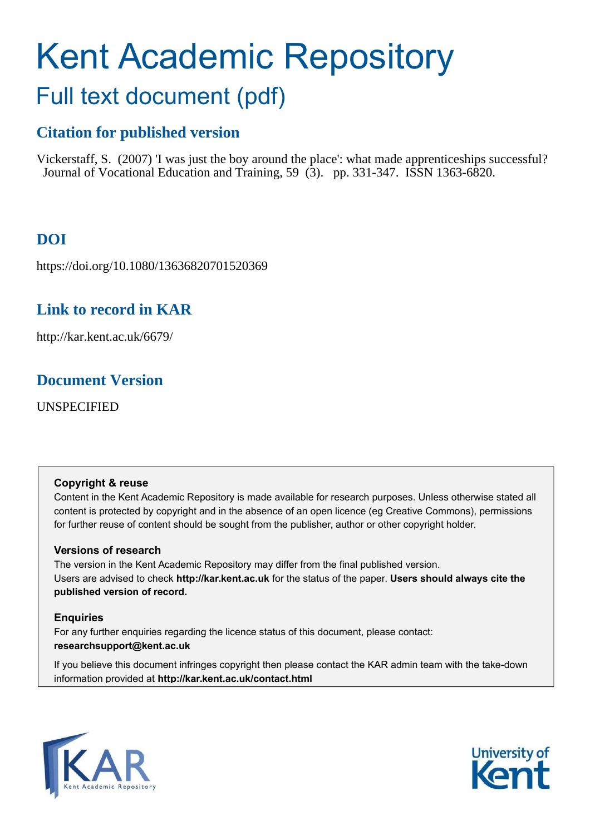# Kent Academic Repository Full text document (pdf)

## **Citation for published version**

Vickerstaff, S. (2007) 'I was just the boy around the place': what made apprenticeships successful? Journal of Vocational Education and Training, 59 ( $\hat{3}$ ). pp. 331-347. ISSN 1363-6820.

## **DOI**

https://doi.org/10.1080/13636820701520369

### **Link to record in KAR**

http://kar.kent.ac.uk/6679/

### **Document Version**

UNSPECIFIED

### **Copyright & reuse**

Content in the Kent Academic Repository is made available for research purposes. Unless otherwise stated all content is protected by copyright and in the absence of an open licence (eg Creative Commons), permissions for further reuse of content should be sought from the publisher, author or other copyright holder.

### **Versions of research**

The version in the Kent Academic Repository may differ from the final published version. Users are advised to check **http://kar.kent.ac.uk** for the status of the paper. **Users should always cite the published version of record.**

### **Enquiries**

For any further enquiries regarding the licence status of this document, please contact: **researchsupport@kent.ac.uk**

If you believe this document infringes copyright then please contact the KAR admin team with the take-down information provided at **http://kar.kent.ac.uk/contact.html**



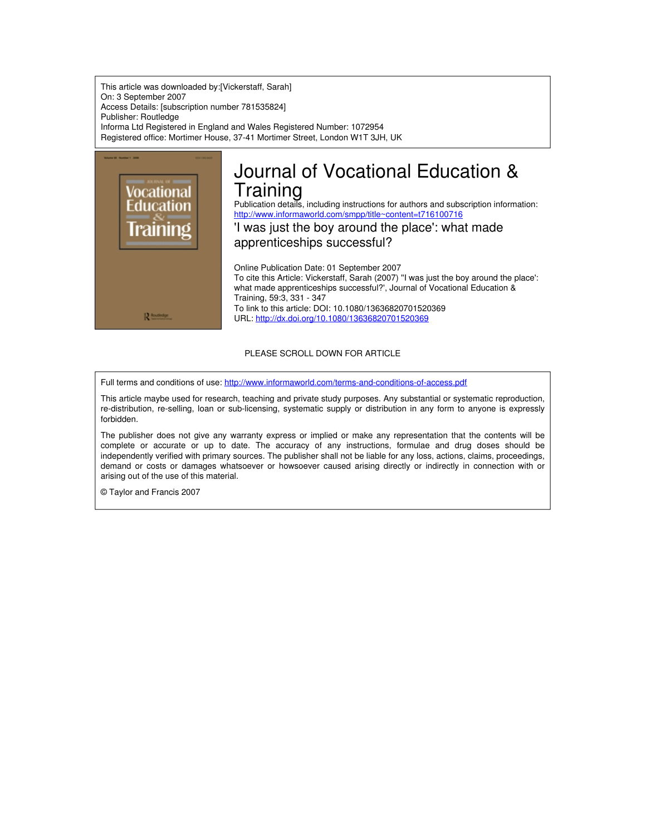This article was downloaded by:[Vickerstaff, Sarah] On: 3 September 2007 Access Details: [subscription number 781535824] Publisher: Routledge Informa Ltd Registered in England and Wales Registered Number: 1072954 Registered office: Mortimer House, 37-41 Mortimer Street, London W1T 3JH, UK



# Journal of Vocational Education & Training

Publication details, including instructions for authors and subscription information: <http://www.informaworld.com/smpp/title~content=t716100716>

'I was just the boy around the place': what made apprenticeships successful?

Online Publication Date: 01 September 2007 To cite this Article: Vickerstaff, Sarah (2007) ''I was just the boy around the place': what made apprenticeships successful?', Journal of Vocational Education & Training, 59:3, 331 - 347 To link to this article: DOI: 10.1080/13636820701520369 URL: <http://dx.doi.org/10.1080/13636820701520369>

#### PLEASE SCROLL DOWN FOR ARTICLE

Full terms and conditions of use: <http://www.informaworld.com/terms-and-conditions-of-access.pdf>

This article maybe used for research, teaching and private study purposes. Any substantial or systematic reproduction, re-distribution, re-selling, loan or sub-licensing, systematic supply or distribution in any form to anyone is expressly forbidden.

The publisher does not give any warranty express or implied or make any representation that the contents will be complete or accurate or up to date. The accuracy of any instructions, formulae and drug doses should be independently verified with primary sources. The publisher shall not be liable for any loss, actions, claims, proceedings, demand or costs or damages whatsoever or howsoever caused arising directly or indirectly in connection with or arising out of the use of this material.

© Taylor and Francis 2007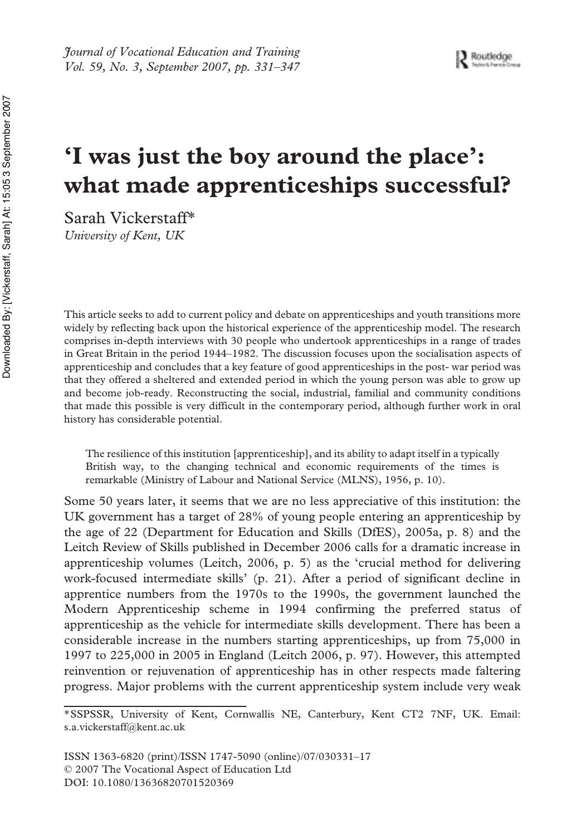Routledge

# **'I was just the boy around the place': what made apprenticeships successful?**

Sarah Vickerstaff\* *University of Kent, UK*

This article seeks to add to current policy and debate on apprenticeships and youth transitions more widely by reflecting back upon the historical experience of the apprenticeship model. The research comprises in-depth interviews with 30 people who undertook apprenticeships in a range of trades in Great Britain in the period 1944–1982. The discussion focuses upon the socialisation aspects of apprenticeship and concludes that a key feature of good apprenticeships in the post- war period was that they offered a sheltered and extended period in which the young person was able to grow up and become job-ready. Reconstructing the social, industrial, familial and community conditions that made this possible is very difficult in the contemporary period, although further work in oral history has considerable potential.

The resilience of this institution [apprenticeship], and its ability to adapt itself in a typically British way, to the changing technical and economic requirements of the times is remarkable (Ministry of Labour and National Service (MLNS), 1956, p. 10).

Some 50 years later, it seems that we are no less appreciative of this institution: the UK government has a target of 28% of young people entering an apprenticeship by the age of 22 (Department for Education and Skills (DfES), 2005a, p. 8) and the Leitch Review of Skills published in December 2006 calls for a dramatic increase in apprenticeship volumes (Leitch, 2006, p. 5) as the 'crucial method for delivering work-focused intermediate skills' (p. 21). After a period of significant decline in apprentice numbers from the 1970s to the 1990s, the government launched the Modern Apprenticeship scheme in 1994 confirming the preferred status of apprenticeship as the vehicle for intermediate skills development. There has been a considerable increase in the numbers starting apprenticeships, up from 75,000 in 1997 to 225,000 in 2005 in England (Leitch 2006, p. 97). However, this attempted reinvention or rejuvenation of apprenticeship has in other respects made faltering progress. Major problems with the current apprenticeship system include very weak

ISSN 1363-6820 (print)/ISSN 1747-5090 (online)/07/030331–17 © 2007 The Vocational Aspect of Education Ltd DOI: 10.1080/13636820701520369

<sup>\*</sup>SSPSSR, University of Kent, Cornwallis NE, Canterbury, Kent CT2 7NF, UK. Email: s.a.vickerstaff@kent.ac.uk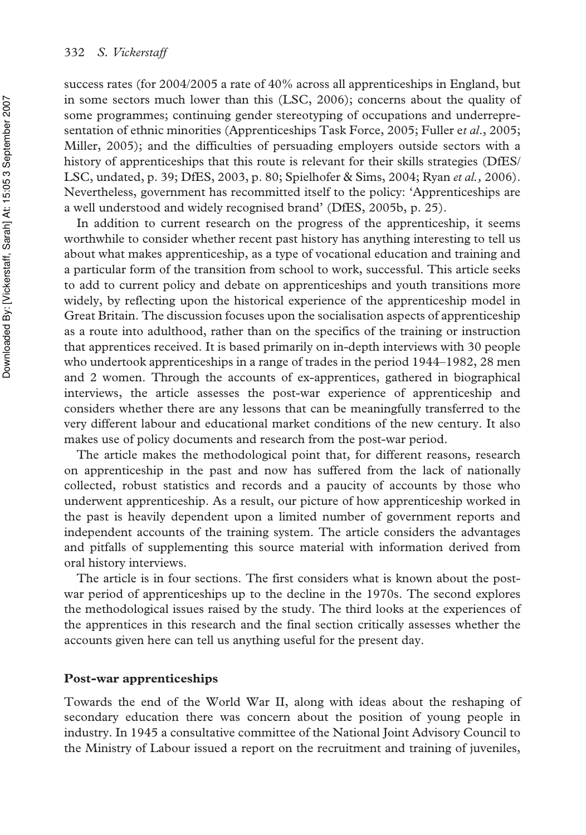success rates (for 2004/2005 a rate of 40% across all apprenticeships in England, but in some sectors much lower than this (LSC, 2006); concerns about the quality of some programmes; continuing gender stereotyping of occupations and underrepresentation of ethnic minorities (Apprenticeships Task Force, 2005; Fuller e*t al*., 2005; Miller, 2005); and the difficulties of persuading employers outside sectors with a history of apprenticeships that this route is relevant for their skills strategies (DfES/ LSC, undated, p. 39; DfES, 2003, p. 80; Spielhofer & Sims, 2004; Ryan *et al.,* 2006). Nevertheless, government has recommitted itself to the policy: 'Apprenticeships are a well understood and widely recognised brand' (DfES, 2005b, p. 25).

In addition to current research on the progress of the apprenticeship, it seems worthwhile to consider whether recent past history has anything interesting to tell us about what makes apprenticeship, as a type of vocational education and training and a particular form of the transition from school to work, successful. This article seeks to add to current policy and debate on apprenticeships and youth transitions more widely, by reflecting upon the historical experience of the apprenticeship model in Great Britain. The discussion focuses upon the socialisation aspects of apprenticeship as a route into adulthood, rather than on the specifics of the training or instruction that apprentices received. It is based primarily on in-depth interviews with 30 people who undertook apprenticeships in a range of trades in the period 1944–1982, 28 men and 2 women. Through the accounts of ex-apprentices, gathered in biographical interviews, the article assesses the post-war experience of apprenticeship and considers whether there are any lessons that can be meaningfully transferred to the very different labour and educational market conditions of the new century. It also makes use of policy documents and research from the post-war period.

The article makes the methodological point that, for different reasons, research on apprenticeship in the past and now has suffered from the lack of nationally collected, robust statistics and records and a paucity of accounts by those who underwent apprenticeship. As a result, our picture of how apprenticeship worked in the past is heavily dependent upon a limited number of government reports and independent accounts of the training system. The article considers the advantages and pitfalls of supplementing this source material with information derived from oral history interviews.

The article is in four sections. The first considers what is known about the postwar period of apprenticeships up to the decline in the 1970s. The second explores the methodological issues raised by the study. The third looks at the experiences of the apprentices in this research and the final section critically assesses whether the accounts given here can tell us anything useful for the present day.

#### **Post-war apprenticeships**

Towards the end of the World War II, along with ideas about the reshaping of secondary education there was concern about the position of young people in industry. In 1945 a consultative committee of the National Joint Advisory Council to the Ministry of Labour issued a report on the recruitment and training of juveniles,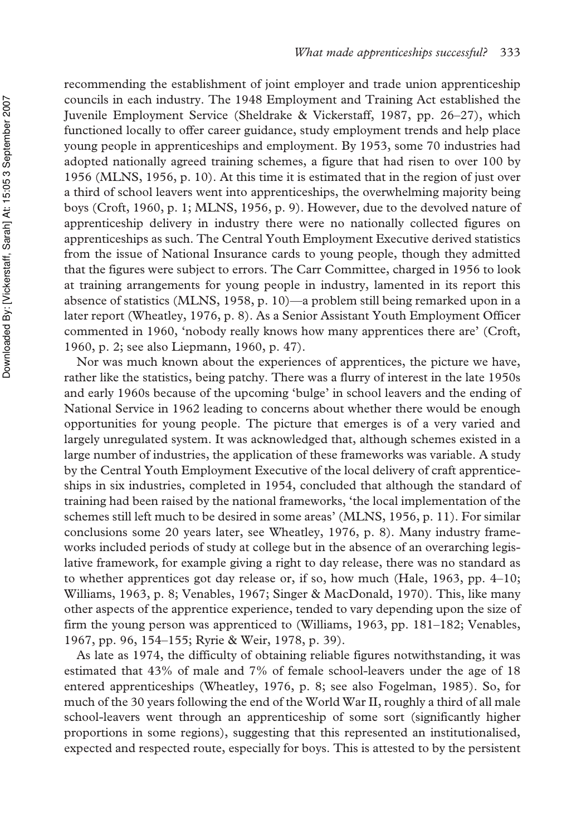recommending the establishment of joint employer and trade union apprenticeship councils in each industry. The 1948 Employment and Training Act established the Juvenile Employment Service (Sheldrake & Vickerstaff, 1987, pp. 26–27), which functioned locally to offer career guidance, study employment trends and help place young people in apprenticeships and employment. By 1953, some 70 industries had adopted nationally agreed training schemes, a figure that had risen to over 100 by 1956 (MLNS, 1956, p. 10). At this time it is estimated that in the region of just over a third of school leavers went into apprenticeships, the overwhelming majority being boys (Croft, 1960, p. 1; MLNS, 1956, p. 9). However, due to the devolved nature of apprenticeship delivery in industry there were no nationally collected figures on apprenticeships as such. The Central Youth Employment Executive derived statistics from the issue of National Insurance cards to young people, though they admitted that the figures were subject to errors. The Carr Committee, charged in 1956 to look at training arrangements for young people in industry, lamented in its report this absence of statistics (MLNS, 1958, p. 10)—a problem still being remarked upon in a later report (Wheatley, 1976, p. 8). As a Senior Assistant Youth Employment Officer commented in 1960, 'nobody really knows how many apprentices there are' (Croft, 1960, p. 2; see also Liepmann, 1960, p. 47).

Nor was much known about the experiences of apprentices, the picture we have, rather like the statistics, being patchy. There was a flurry of interest in the late 1950s and early 1960s because of the upcoming 'bulge' in school leavers and the ending of National Service in 1962 leading to concerns about whether there would be enough opportunities for young people. The picture that emerges is of a very varied and largely unregulated system. It was acknowledged that, although schemes existed in a large number of industries, the application of these frameworks was variable. A study by the Central Youth Employment Executive of the local delivery of craft apprenticeships in six industries, completed in 1954, concluded that although the standard of training had been raised by the national frameworks, 'the local implementation of the schemes still left much to be desired in some areas' (MLNS, 1956, p. 11). For similar conclusions some 20 years later, see Wheatley, 1976, p. 8). Many industry frameworks included periods of study at college but in the absence of an overarching legislative framework, for example giving a right to day release, there was no standard as to whether apprentices got day release or, if so, how much (Hale, 1963, pp. 4–10; Williams, 1963, p. 8; Venables, 1967; Singer & MacDonald, 1970). This, like many other aspects of the apprentice experience, tended to vary depending upon the size of firm the young person was apprenticed to (Williams, 1963, pp. 181–182; Venables, 1967, pp. 96, 154–155; Ryrie & Weir, 1978, p. 39).

As late as 1974, the difficulty of obtaining reliable figures notwithstanding, it was estimated that 43% of male and 7% of female school-leavers under the age of 18 entered apprenticeships (Wheatley, 1976, p. 8; see also Fogelman, 1985). So, for much of the 30 years following the end of the World War II, roughly a third of all male school-leavers went through an apprenticeship of some sort (significantly higher proportions in some regions), suggesting that this represented an institutionalised, expected and respected route, especially for boys. This is attested to by the persistent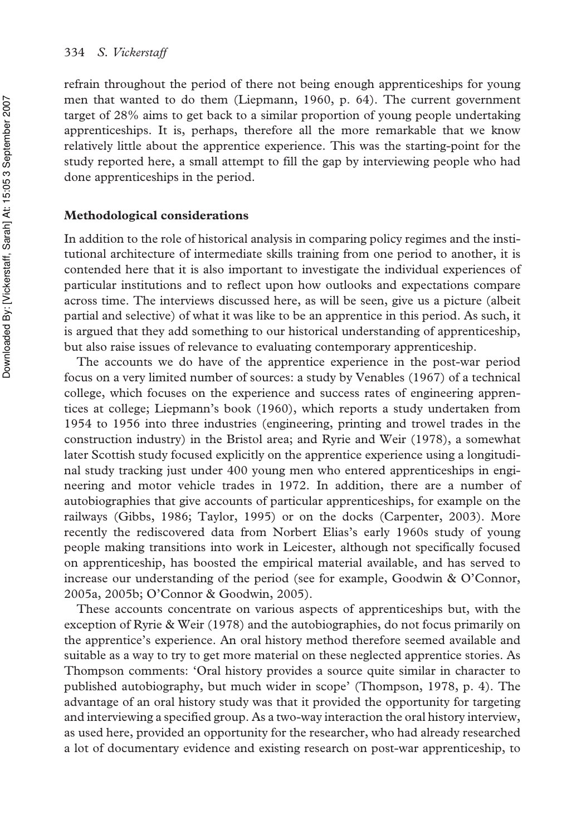refrain throughout the period of there not being enough apprenticeships for young men that wanted to do them (Liepmann, 1960, p. 64). The current government target of 28% aims to get back to a similar proportion of young people undertaking apprenticeships. It is, perhaps, therefore all the more remarkable that we know relatively little about the apprentice experience. This was the starting-point for the study reported here, a small attempt to fill the gap by interviewing people who had done apprenticeships in the period.

#### **Methodological considerations**

In addition to the role of historical analysis in comparing policy regimes and the institutional architecture of intermediate skills training from one period to another, it is contended here that it is also important to investigate the individual experiences of particular institutions and to reflect upon how outlooks and expectations compare across time. The interviews discussed here, as will be seen, give us a picture (albeit partial and selective) of what it was like to be an apprentice in this period. As such, it is argued that they add something to our historical understanding of apprenticeship, but also raise issues of relevance to evaluating contemporary apprenticeship.

The accounts we do have of the apprentice experience in the post-war period focus on a very limited number of sources: a study by Venables (1967) of a technical college, which focuses on the experience and success rates of engineering apprentices at college; Liepmann's book (1960), which reports a study undertaken from 1954 to 1956 into three industries (engineering, printing and trowel trades in the construction industry) in the Bristol area; and Ryrie and Weir (1978), a somewhat later Scottish study focused explicitly on the apprentice experience using a longitudinal study tracking just under 400 young men who entered apprenticeships in engineering and motor vehicle trades in 1972. In addition, there are a number of autobiographies that give accounts of particular apprenticeships, for example on the railways (Gibbs, 1986; Taylor, 1995) or on the docks (Carpenter, 2003). More recently the rediscovered data from Norbert Elias's early 1960s study of young people making transitions into work in Leicester, although not specifically focused on apprenticeship, has boosted the empirical material available, and has served to increase our understanding of the period (see for example, Goodwin & O'Connor, 2005a, 2005b; O'Connor & Goodwin, 2005).

These accounts concentrate on various aspects of apprenticeships but, with the exception of Ryrie & Weir (1978) and the autobiographies, do not focus primarily on the apprentice's experience. An oral history method therefore seemed available and suitable as a way to try to get more material on these neglected apprentice stories. As Thompson comments: 'Oral history provides a source quite similar in character to published autobiography, but much wider in scope' (Thompson, 1978, p. 4). The advantage of an oral history study was that it provided the opportunity for targeting and interviewing a specified group. As a two-way interaction the oral history interview, as used here, provided an opportunity for the researcher, who had already researched a lot of documentary evidence and existing research on post-war apprenticeship, to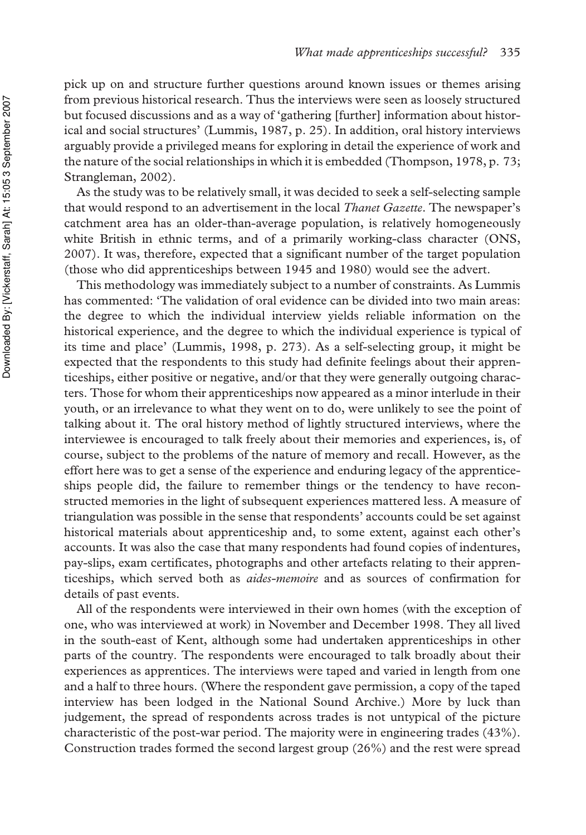pick up on and structure further questions around known issues or themes arising from previous historical research. Thus the interviews were seen as loosely structured but focused discussions and as a way of 'gathering [further] information about historical and social structures' (Lummis, 1987, p. 25). In addition, oral history interviews arguably provide a privileged means for exploring in detail the experience of work and the nature of the social relationships in which it is embedded (Thompson, 1978, p. 73; Strangleman, 2002).

As the study was to be relatively small, it was decided to seek a self-selecting sample that would respond to an advertisement in the local *Thanet Gazette*. The newspaper's catchment area has an older-than-average population, is relatively homogeneously white British in ethnic terms, and of a primarily working-class character (ONS, 2007). It was, therefore, expected that a significant number of the target population (those who did apprenticeships between 1945 and 1980) would see the advert.

This methodology was immediately subject to a number of constraints. As Lummis has commented: 'The validation of oral evidence can be divided into two main areas: the degree to which the individual interview yields reliable information on the historical experience, and the degree to which the individual experience is typical of its time and place' (Lummis, 1998, p. 273). As a self-selecting group, it might be expected that the respondents to this study had definite feelings about their apprenticeships, either positive or negative, and/or that they were generally outgoing characters. Those for whom their apprenticeships now appeared as a minor interlude in their youth, or an irrelevance to what they went on to do, were unlikely to see the point of talking about it. The oral history method of lightly structured interviews, where the interviewee is encouraged to talk freely about their memories and experiences, is, of course, subject to the problems of the nature of memory and recall. However, as the effort here was to get a sense of the experience and enduring legacy of the apprenticeships people did, the failure to remember things or the tendency to have reconstructed memories in the light of subsequent experiences mattered less. A measure of triangulation was possible in the sense that respondents' accounts could be set against historical materials about apprenticeship and, to some extent, against each other's accounts. It was also the case that many respondents had found copies of indentures, pay-slips, exam certificates, photographs and other artefacts relating to their apprenticeships, which served both as *aides-memoire* and as sources of confirmation for details of past events.

All of the respondents were interviewed in their own homes (with the exception of one, who was interviewed at work) in November and December 1998. They all lived in the south-east of Kent, although some had undertaken apprenticeships in other parts of the country. The respondents were encouraged to talk broadly about their experiences as apprentices. The interviews were taped and varied in length from one and a half to three hours. (Where the respondent gave permission, a copy of the taped interview has been lodged in the National Sound Archive.) More by luck than judgement, the spread of respondents across trades is not untypical of the picture characteristic of the post-war period. The majority were in engineering trades (43%). Construction trades formed the second largest group (26%) and the rest were spread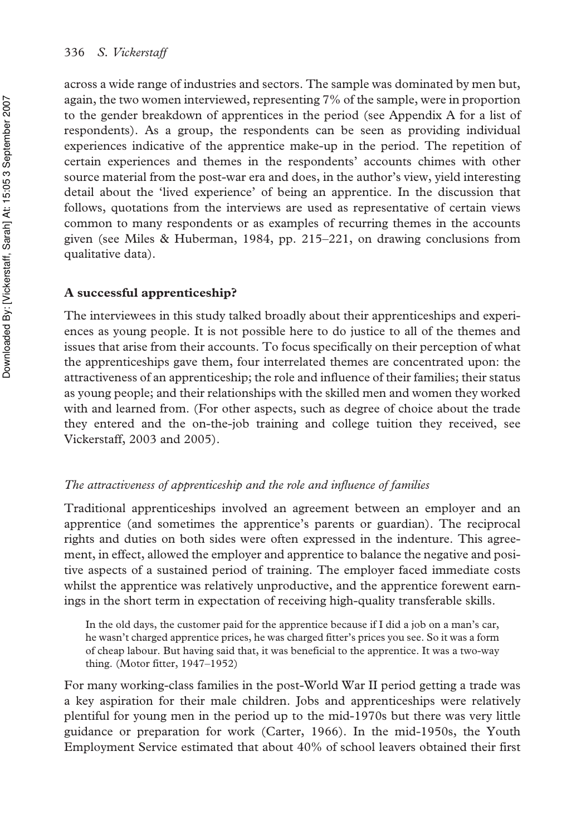across a wide range of industries and sectors. The sample was dominated by men but, again, the two women interviewed, representing 7% of the sample, were in proportion to the gender breakdown of apprentices in the period (see Appendix A for a list of respondents). As a group, the respondents can be seen as providing individual experiences indicative of the apprentice make-up in the period. The repetition of certain experiences and themes in the respondents' accounts chimes with other source material from the post-war era and does, in the author's view, yield interesting detail about the 'lived experience' of being an apprentice. In the discussion that follows, quotations from the interviews are used as representative of certain views common to many respondents or as examples of recurring themes in the accounts given (see Miles & Huberman, 1984, pp. 215–221, on drawing conclusions from qualitative data).

#### **A successful apprenticeship?**

The interviewees in this study talked broadly about their apprenticeships and experiences as young people. It is not possible here to do justice to all of the themes and issues that arise from their accounts. To focus specifically on their perception of what the apprenticeships gave them, four interrelated themes are concentrated upon: the attractiveness of an apprenticeship; the role and influence of their families; their status as young people; and their relationships with the skilled men and women they worked with and learned from. (For other aspects, such as degree of choice about the trade they entered and the on-the-job training and college tuition they received, see Vickerstaff, 2003 and 2005).

#### *The attractiveness of apprenticeship and the role and influence of families*

Traditional apprenticeships involved an agreement between an employer and an apprentice (and sometimes the apprentice's parents or guardian). The reciprocal rights and duties on both sides were often expressed in the indenture. This agreement, in effect, allowed the employer and apprentice to balance the negative and positive aspects of a sustained period of training. The employer faced immediate costs whilst the apprentice was relatively unproductive, and the apprentice forewent earnings in the short term in expectation of receiving high-quality transferable skills.

In the old days, the customer paid for the apprentice because if I did a job on a man's car, he wasn't charged apprentice prices, he was charged fitter's prices you see. So it was a form of cheap labour. But having said that, it was beneficial to the apprentice. It was a two-way thing. (Motor fitter, 1947–1952)

For many working-class families in the post-World War II period getting a trade was a key aspiration for their male children. Jobs and apprenticeships were relatively plentiful for young men in the period up to the mid-1970s but there was very little guidance or preparation for work (Carter, 1966). In the mid-1950s, the Youth Employment Service estimated that about 40% of school leavers obtained their first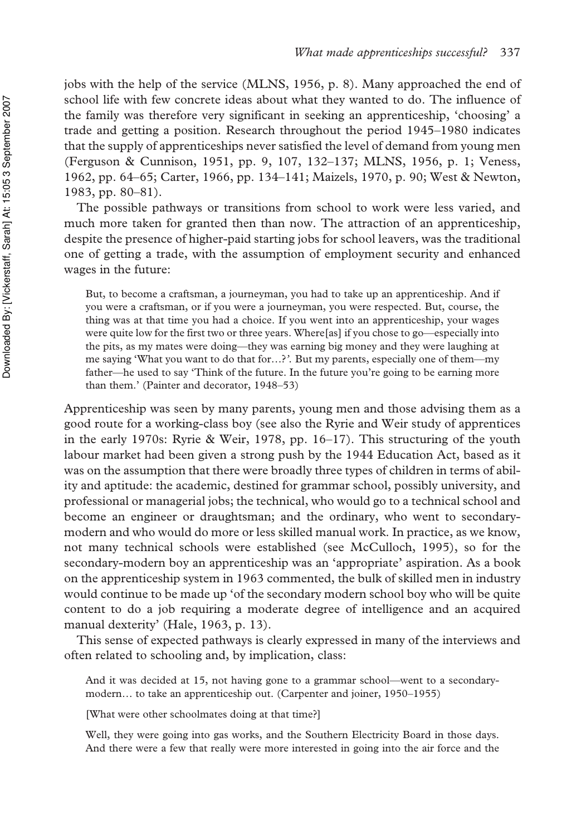jobs with the help of the service (MLNS, 1956, p. 8). Many approached the end of school life with few concrete ideas about what they wanted to do. The influence of the family was therefore very significant in seeking an apprenticeship, 'choosing' a trade and getting a position. Research throughout the period 1945–1980 indicates that the supply of apprenticeships never satisfied the level of demand from young men (Ferguson & Cunnison, 1951, pp. 9, 107, 132–137; MLNS, 1956, p. 1; Veness, 1962, pp. 64–65; Carter, 1966, pp. 134–141; Maizels, 1970, p. 90; West & Newton, 1983, pp. 80–81).

The possible pathways or transitions from school to work were less varied, and much more taken for granted then than now. The attraction of an apprenticeship, despite the presence of higher-paid starting jobs for school leavers, was the traditional one of getting a trade, with the assumption of employment security and enhanced wages in the future:

But, to become a craftsman, a journeyman, you had to take up an apprenticeship. And if you were a craftsman, or if you were a journeyman, you were respected. But, course, the thing was at that time you had a choice. If you went into an apprenticeship, your wages were quite low for the first two or three years. Where[as] if you chose to go—especially into the pits, as my mates were doing—they was earning big money and they were laughing at me saying 'What you want to do that for…?*'.* But my parents, especially one of them—my father—he used to say 'Think of the future. In the future you're going to be earning more than them.' (Painter and decorator, 1948–53)

Apprenticeship was seen by many parents, young men and those advising them as a good route for a working-class boy (see also the Ryrie and Weir study of apprentices in the early 1970s: Ryrie & Weir, 1978, pp. 16–17). This structuring of the youth labour market had been given a strong push by the 1944 Education Act, based as it was on the assumption that there were broadly three types of children in terms of ability and aptitude: the academic, destined for grammar school, possibly university, and professional or managerial jobs; the technical, who would go to a technical school and become an engineer or draughtsman; and the ordinary, who went to secondarymodern and who would do more or less skilled manual work. In practice, as we know, not many technical schools were established (see McCulloch, 1995), so for the secondary-modern boy an apprenticeship was an 'appropriate' aspiration. As a book on the apprenticeship system in 1963 commented, the bulk of skilled men in industry would continue to be made up 'of the secondary modern school boy who will be quite content to do a job requiring a moderate degree of intelligence and an acquired manual dexterity' (Hale, 1963, p. 13).

This sense of expected pathways is clearly expressed in many of the interviews and often related to schooling and, by implication, class:

And it was decided at 15, not having gone to a grammar school—went to a secondarymodern… to take an apprenticeship out. (Carpenter and joiner, 1950–1955)

[What were other schoolmates doing at that time?]

Well, they were going into gas works, and the Southern Electricity Board in those days. And there were a few that really were more interested in going into the air force and the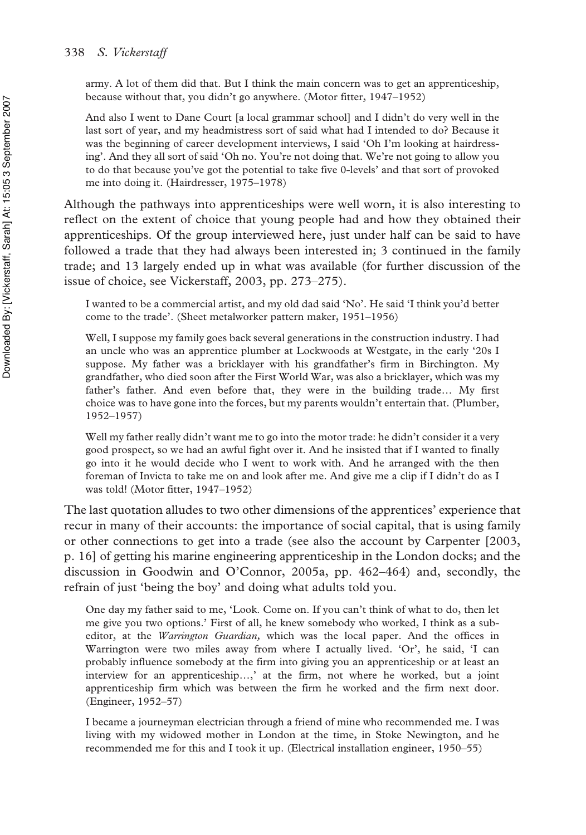army. A lot of them did that. But I think the main concern was to get an apprenticeship, because without that, you didn't go anywhere. (Motor fitter, 1947–1952)

And also I went to Dane Court [a local grammar school] and I didn't do very well in the last sort of year, and my headmistress sort of said what had I intended to do? Because it was the beginning of career development interviews, I said 'Oh I'm looking at hairdressing'. And they all sort of said 'Oh no. You're not doing that. We're not going to allow you to do that because you've got the potential to take five 0-levels' and that sort of provoked me into doing it. (Hairdresser, 1975–1978)

Although the pathways into apprenticeships were well worn, it is also interesting to reflect on the extent of choice that young people had and how they obtained their apprenticeships. Of the group interviewed here, just under half can be said to have followed a trade that they had always been interested in; 3 continued in the family trade; and 13 largely ended up in what was available (for further discussion of the issue of choice, see Vickerstaff, 2003, pp. 273–275).

I wanted to be a commercial artist, and my old dad said 'No'. He said 'I think you'd better come to the trade'. (Sheet metalworker pattern maker, 1951–1956)

Well, I suppose my family goes back several generations in the construction industry. I had an uncle who was an apprentice plumber at Lockwoods at Westgate, in the early '20s I suppose. My father was a bricklayer with his grandfather's firm in Birchington. My grandfather, who died soon after the First World War, was also a bricklayer, which was my father's father. And even before that, they were in the building trade… My first choice was to have gone into the forces, but my parents wouldn't entertain that. (Plumber, 1952–1957)

Well my father really didn't want me to go into the motor trade: he didn't consider it a very good prospect, so we had an awful fight over it. And he insisted that if I wanted to finally go into it he would decide who I went to work with. And he arranged with the then foreman of Invicta to take me on and look after me. And give me a clip if I didn't do as I was told! (Motor fitter, 1947–1952)

The last quotation alludes to two other dimensions of the apprentices' experience that recur in many of their accounts: the importance of social capital, that is using family or other connections to get into a trade (see also the account by Carpenter [2003, p. 16] of getting his marine engineering apprenticeship in the London docks; and the discussion in Goodwin and O'Connor, 2005a, pp. 462–464) and, secondly, the refrain of just 'being the boy' and doing what adults told you.

One day my father said to me, 'Look. Come on. If you can't think of what to do, then let me give you two options.' First of all, he knew somebody who worked, I think as a subeditor, at the *Warrington Guardian,* which was the local paper. And the offices in Warrington were two miles away from where I actually lived. 'Or', he said, 'I can probably influence somebody at the firm into giving you an apprenticeship or at least an interview for an apprenticeship…,' at the firm, not where he worked, but a joint apprenticeship firm which was between the firm he worked and the firm next door. (Engineer, 1952–57)

I became a journeyman electrician through a friend of mine who recommended me. I was living with my widowed mother in London at the time, in Stoke Newington, and he recommended me for this and I took it up. (Electrical installation engineer, 1950–55)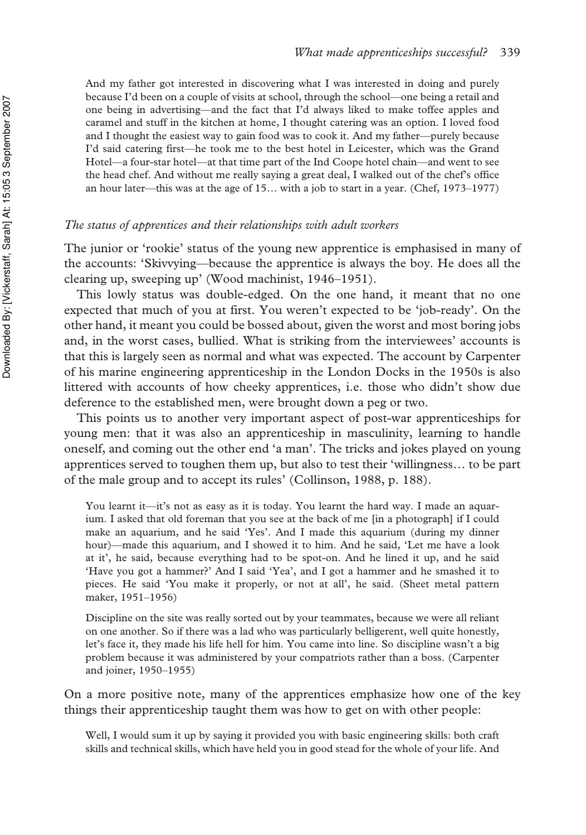And my father got interested in discovering what I was interested in doing and purely because I'd been on a couple of visits at school, through the school—one being a retail and one being in advertising—and the fact that I'd always liked to make toffee apples and caramel and stuff in the kitchen at home, I thought catering was an option. I loved food and I thought the easiest way to gain food was to cook it. And my father—purely because I'd said catering first—he took me to the best hotel in Leicester, which was the Grand Hotel—a four-star hotel—at that time part of the Ind Coope hotel chain—and went to see the head chef. And without me really saying a great deal, I walked out of the chef's office an hour later—this was at the age of 15… with a job to start in a year. (Chef, 1973–1977)

#### *The status of apprentices and their relationships with adult workers*

The junior or 'rookie' status of the young new apprentice is emphasised in many of the accounts: 'Skivvying—because the apprentice is always the boy. He does all the clearing up, sweeping up' (Wood machinist, 1946–1951).

This lowly status was double-edged. On the one hand, it meant that no one expected that much of you at first. You weren't expected to be 'job-ready'. On the other hand, it meant you could be bossed about, given the worst and most boring jobs and, in the worst cases, bullied. What is striking from the interviewees' accounts is that this is largely seen as normal and what was expected. The account by Carpenter of his marine engineering apprenticeship in the London Docks in the 1950s is also littered with accounts of how cheeky apprentices, i.e. those who didn't show due deference to the established men, were brought down a peg or two.

This points us to another very important aspect of post-war apprenticeships for young men: that it was also an apprenticeship in masculinity, learning to handle oneself, and coming out the other end 'a man'. The tricks and jokes played on young apprentices served to toughen them up, but also to test their 'willingness… to be part of the male group and to accept its rules' (Collinson, 1988, p. 188).

You learnt it—it's not as easy as it is today. You learnt the hard way. I made an aquarium. I asked that old foreman that you see at the back of me [in a photograph] if I could make an aquarium, and he said 'Yes'. And I made this aquarium (during my dinner hour)—made this aquarium, and I showed it to him. And he said, 'Let me have a look at it', he said, because everything had to be spot-on. And he lined it up, and he said 'Have you got a hammer?' And I said 'Yea', and I got a hammer and he smashed it to pieces. He said 'You make it properly, or not at all', he said. (Sheet metal pattern maker, 1951–1956)

Discipline on the site was really sorted out by your teammates, because we were all reliant on one another. So if there was a lad who was particularly belligerent, well quite honestly, let's face it, they made his life hell for him. You came into line. So discipline wasn't a big problem because it was administered by your compatriots rather than a boss. (Carpenter and joiner, 1950–1955)

On a more positive note, many of the apprentices emphasize how one of the key things their apprenticeship taught them was how to get on with other people:

Well, I would sum it up by saying it provided you with basic engineering skills: both craft skills and technical skills, which have held you in good stead for the whole of your life. And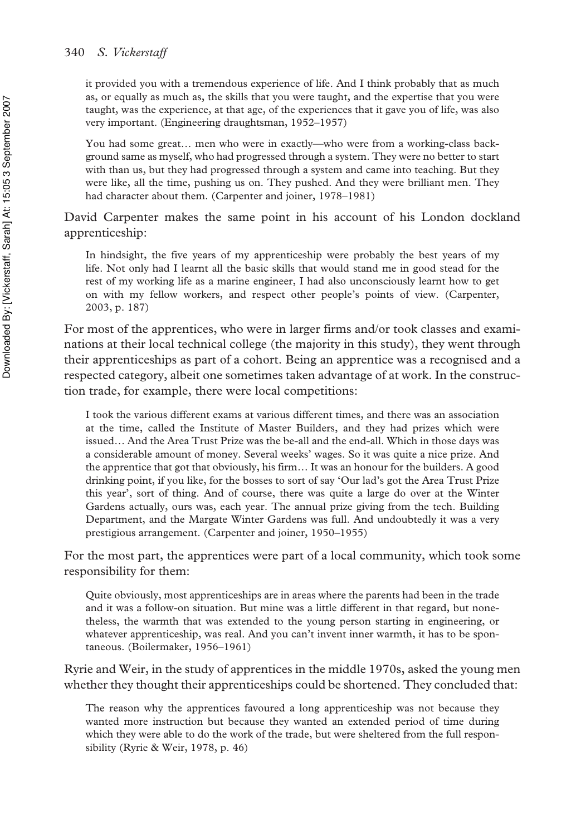it provided you with a tremendous experience of life. And I think probably that as much as, or equally as much as, the skills that you were taught, and the expertise that you were taught, was the experience, at that age, of the experiences that it gave you of life, was also very important. (Engineering draughtsman, 1952–1957)

You had some great… men who were in exactly—who were from a working-class background same as myself, who had progressed through a system. They were no better to start with than us, but they had progressed through a system and came into teaching. But they were like, all the time, pushing us on. They pushed. And they were brilliant men. They had character about them. (Carpenter and joiner, 1978–1981)

David Carpenter makes the same point in his account of his London dockland apprenticeship:

In hindsight, the five years of my apprenticeship were probably the best years of my life. Not only had I learnt all the basic skills that would stand me in good stead for the rest of my working life as a marine engineer, I had also unconsciously learnt how to get on with my fellow workers, and respect other people's points of view. (Carpenter, 2003, p. 187)

For most of the apprentices, who were in larger firms and/or took classes and examinations at their local technical college (the majority in this study), they went through their apprenticeships as part of a cohort. Being an apprentice was a recognised and a respected category, albeit one sometimes taken advantage of at work. In the construction trade, for example, there were local competitions:

I took the various different exams at various different times, and there was an association at the time, called the Institute of Master Builders, and they had prizes which were issued… And the Area Trust Prize was the be-all and the end-all. Which in those days was a considerable amount of money. Several weeks' wages. So it was quite a nice prize. And the apprentice that got that obviously, his firm… It was an honour for the builders. A good drinking point, if you like, for the bosses to sort of say 'Our lad's got the Area Trust Prize this year', sort of thing. And of course, there was quite a large do over at the Winter Gardens actually, ours was, each year. The annual prize giving from the tech. Building Department, and the Margate Winter Gardens was full. And undoubtedly it was a very prestigious arrangement. (Carpenter and joiner, 1950–1955)

For the most part, the apprentices were part of a local community, which took some responsibility for them:

Quite obviously, most apprenticeships are in areas where the parents had been in the trade and it was a follow-on situation. But mine was a little different in that regard, but nonetheless, the warmth that was extended to the young person starting in engineering, or whatever apprenticeship, was real. And you can't invent inner warmth, it has to be spontaneous. (Boilermaker, 1956–1961)

Ryrie and Weir, in the study of apprentices in the middle 1970s, asked the young men whether they thought their apprenticeships could be shortened. They concluded that:

The reason why the apprentices favoured a long apprenticeship was not because they wanted more instruction but because they wanted an extended period of time during which they were able to do the work of the trade, but were sheltered from the full responsibility (Ryrie & Weir, 1978, p. 46)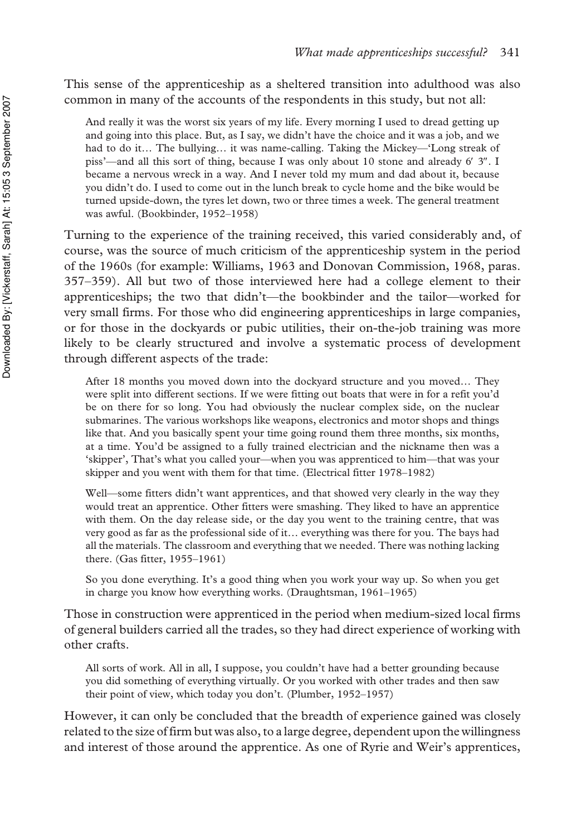This sense of the apprenticeship as a sheltered transition into adulthood was also common in many of the accounts of the respondents in this study, but not all:

And really it was the worst six years of my life. Every morning I used to dread getting up and going into this place. But, as I say, we didn't have the choice and it was a job, and we had to do it… The bullying… it was name-calling. Taking the Mickey—'Long streak of piss'—and all this sort of thing, because I was only about 10 stone and already 6 ′ 3 ″. I became a nervous wreck in a way. And I never told my mum and dad about it, because you didn't do. I used to come out in the lunch break to cycle home and the bike would be turned upside-down, the tyres let down, two or three times a week. The general treatment was awful. (Bookbinder, 1952–1958)

Turning to the experience of the training received, this varied considerably and, of course, was the source of much criticism of the apprenticeship system in the period of the 1960s (for example: Williams, 1963 and Donovan Commission, 1968, paras. 357–359). All but two of those interviewed here had a college element to their apprenticeships; the two that didn't—the bookbinder and the tailor—worked for very small firms. For those who did engineering apprenticeships in large companies, or for those in the dockyards or pubic utilities, their on-the-job training was more likely to be clearly structured and involve a systematic process of development through different aspects of the trade:

After 18 months you moved down into the dockyard structure and you moved… They were split into different sections. If we were fitting out boats that were in for a refit you'd be on there for so long. You had obviously the nuclear complex side, on the nuclear submarines. The various workshops like weapons, electronics and motor shops and things like that. And you basically spent your time going round them three months, six months, at a time. You'd be assigned to a fully trained electrician and the nickname then was a 'skipper', That's what you called your—when you was apprenticed to him—that was your skipper and you went with them for that time. (Electrical fitter 1978–1982)

Well—some fitters didn't want apprentices, and that showed very clearly in the way they would treat an apprentice. Other fitters were smashing. They liked to have an apprentice with them. On the day release side, or the day you went to the training centre, that was very good as far as the professional side of it… everything was there for you. The bays had all the materials. The classroom and everything that we needed. There was nothing lacking there. (Gas fitter, 1955–1961)

So you done everything. It's a good thing when you work your way up. So when you get in charge you know how everything works. (Draughtsman, 1961–1965)

Those in construction were apprenticed in the period when medium-sized local firms of general builders carried all the trades, so they had direct experience of working with other crafts.

All sorts of work. All in all, I suppose, you couldn't have had a better grounding because you did something of everything virtually. Or you worked with other trades and then saw their point of view, which today you don't. (Plumber, 1952–1957)

However, it can only be concluded that the breadth of experience gained was closely related to the size of firm but was also, to a large degree, dependent upon the willingness and interest of those around the apprentice. As one of Ryrie and Weir's apprentices,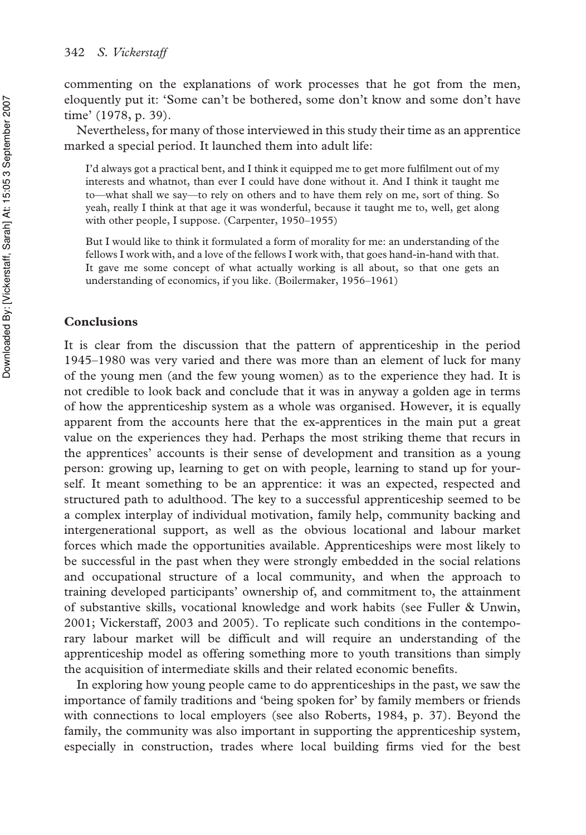commenting on the explanations of work processes that he got from the men, eloquently put it: 'Some can't be bothered, some don't know and some don't have time' (1978, p. 39).

Nevertheless, for many of those interviewed in this study their time as an apprentice marked a special period. It launched them into adult life:

I'd always got a practical bent, and I think it equipped me to get more fulfilment out of my interests and whatnot, than ever I could have done without it. And I think it taught me to—what shall we say—to rely on others and to have them rely on me, sort of thing. So yeah, really I think at that age it was wonderful, because it taught me to, well, get along with other people, I suppose. (Carpenter, 1950–1955)

But I would like to think it formulated a form of morality for me: an understanding of the fellows I work with, and a love of the fellows I work with, that goes hand-in-hand with that. It gave me some concept of what actually working is all about, so that one gets an understanding of economics, if you like. (Boilermaker, 1956–1961)

#### **Conclusions**

It is clear from the discussion that the pattern of apprenticeship in the period 1945–1980 was very varied and there was more than an element of luck for many of the young men (and the few young women) as to the experience they had. It is not credible to look back and conclude that it was in anyway a golden age in terms of how the apprenticeship system as a whole was organised. However, it is equally apparent from the accounts here that the ex-apprentices in the main put a great value on the experiences they had. Perhaps the most striking theme that recurs in the apprentices' accounts is their sense of development and transition as a young person: growing up, learning to get on with people, learning to stand up for yourself. It meant something to be an apprentice: it was an expected, respected and structured path to adulthood. The key to a successful apprenticeship seemed to be a complex interplay of individual motivation, family help, community backing and intergenerational support, as well as the obvious locational and labour market forces which made the opportunities available. Apprenticeships were most likely to be successful in the past when they were strongly embedded in the social relations and occupational structure of a local community, and when the approach to training developed participants' ownership of, and commitment to, the attainment of substantive skills, vocational knowledge and work habits (see Fuller & Unwin, 2001; Vickerstaff, 2003 and 2005). To replicate such conditions in the contemporary labour market will be difficult and will require an understanding of the apprenticeship model as offering something more to youth transitions than simply the acquisition of intermediate skills and their related economic benefits.

In exploring how young people came to do apprenticeships in the past, we saw the importance of family traditions and 'being spoken for' by family members or friends with connections to local employers (see also Roberts, 1984, p. 37). Beyond the family, the community was also important in supporting the apprenticeship system, especially in construction, trades where local building firms vied for the best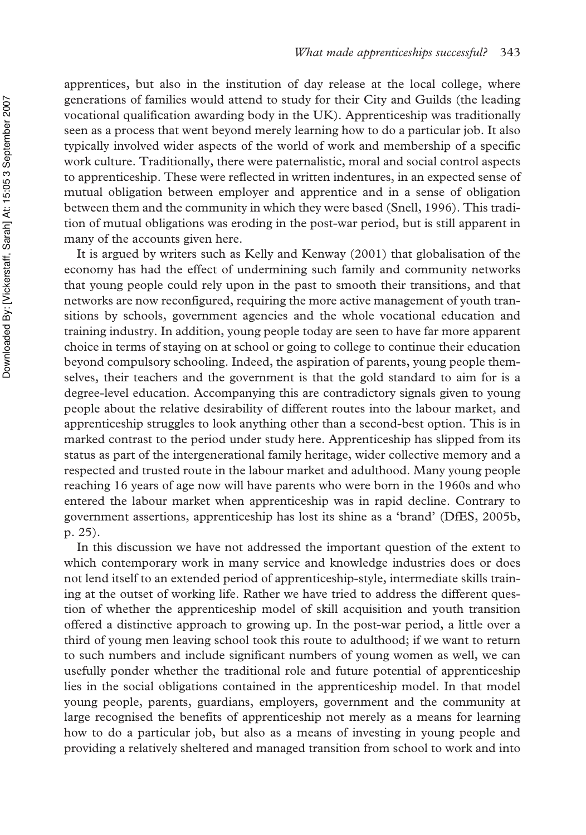apprentices, but also in the institution of day release at the local college, where generations of families would attend to study for their City and Guilds (the leading vocational qualification awarding body in the UK). Apprenticeship was traditionally seen as a process that went beyond merely learning how to do a particular job. It also typically involved wider aspects of the world of work and membership of a specific work culture. Traditionally, there were paternalistic, moral and social control aspects to apprenticeship. These were reflected in written indentures, in an expected sense of mutual obligation between employer and apprentice and in a sense of obligation between them and the community in which they were based (Snell, 1996). This tradition of mutual obligations was eroding in the post-war period, but is still apparent in many of the accounts given here.

It is argued by writers such as Kelly and Kenway (2001) that globalisation of the economy has had the effect of undermining such family and community networks that young people could rely upon in the past to smooth their transitions, and that networks are now reconfigured, requiring the more active management of youth transitions by schools, government agencies and the whole vocational education and training industry. In addition, young people today are seen to have far more apparent choice in terms of staying on at school or going to college to continue their education beyond compulsory schooling. Indeed, the aspiration of parents, young people themselves, their teachers and the government is that the gold standard to aim for is a degree-level education. Accompanying this are contradictory signals given to young people about the relative desirability of different routes into the labour market, and apprenticeship struggles to look anything other than a second-best option. This is in marked contrast to the period under study here. Apprenticeship has slipped from its status as part of the intergenerational family heritage, wider collective memory and a respected and trusted route in the labour market and adulthood. Many young people reaching 16 years of age now will have parents who were born in the 1960s and who entered the labour market when apprenticeship was in rapid decline. Contrary to government assertions, apprenticeship has lost its shine as a 'brand' (DfES, 2005b, p. 25).

In this discussion we have not addressed the important question of the extent to which contemporary work in many service and knowledge industries does or does not lend itself to an extended period of apprenticeship-style, intermediate skills training at the outset of working life. Rather we have tried to address the different question of whether the apprenticeship model of skill acquisition and youth transition offered a distinctive approach to growing up. In the post-war period, a little over a third of young men leaving school took this route to adulthood; if we want to return to such numbers and include significant numbers of young women as well, we can usefully ponder whether the traditional role and future potential of apprenticeship lies in the social obligations contained in the apprenticeship model. In that model young people, parents, guardians, employers, government and the community at large recognised the benefits of apprenticeship not merely as a means for learning how to do a particular job, but also as a means of investing in young people and providing a relatively sheltered and managed transition from school to work and into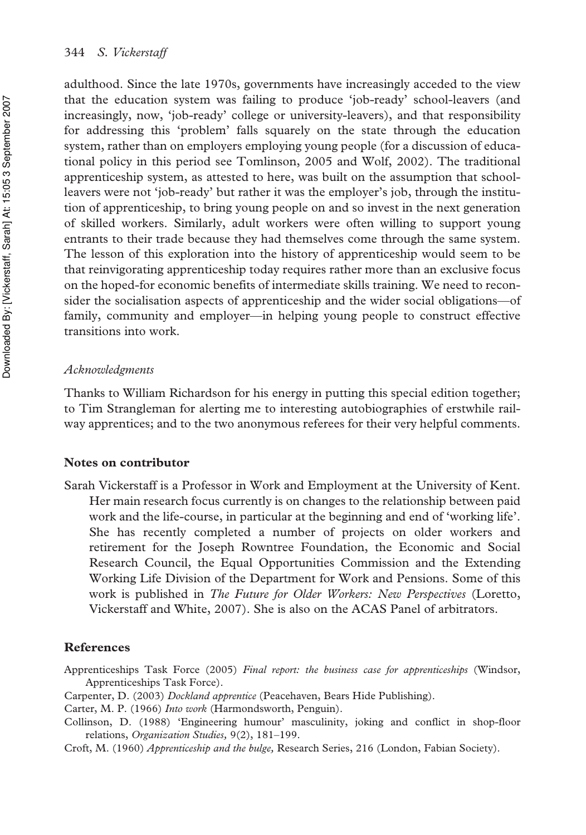adulthood. Since the late 1970s, governments have increasingly acceded to the view that the education system was failing to produce 'job-ready' school-leavers (and increasingly, now, 'job-ready' college or university-leavers), and that responsibility for addressing this 'problem' falls squarely on the state through the education system, rather than on employers employing young people (for a discussion of educational policy in this period see Tomlinson, 2005 and Wolf, 2002). The traditional apprenticeship system, as attested to here, was built on the assumption that schoolleavers were not 'job-ready' but rather it was the employer's job, through the institution of apprenticeship, to bring young people on and so invest in the next generation of skilled workers. Similarly, adult workers were often willing to support young entrants to their trade because they had themselves come through the same system. The lesson of this exploration into the history of apprenticeship would seem to be that reinvigorating apprenticeship today requires rather more than an exclusive focus on the hoped-for economic benefits of intermediate skills training. We need to reconsider the socialisation aspects of apprenticeship and the wider social obligations—of family, community and employer—in helping young people to construct effective transitions into work.

#### *Acknowledgments*

Thanks to William Richardson for his energy in putting this special edition together; to Tim Strangleman for alerting me to interesting autobiographies of erstwhile railway apprentices; and to the two anonymous referees for their very helpful comments.

#### **Notes on contributor**

Sarah Vickerstaff is a Professor in Work and Employment at the University of Kent. Her main research focus currently is on changes to the relationship between paid work and the life-course, in particular at the beginning and end of 'working life'. She has recently completed a number of projects on older workers and retirement for the Joseph Rowntree Foundation, the Economic and Social Research Council, the Equal Opportunities Commission and the Extending Working Life Division of the Department for Work and Pensions. Some of this work is published in *The Future for Older Workers: New Perspectives* (Loretto, Vickerstaff and White, 2007). She is also on the ACAS Panel of arbitrators.

#### **References**

- Apprenticeships Task Force (2005) *Final report: the business case for apprenticeships* (Windsor, Apprenticeships Task Force).
- Carpenter, D. (2003) *Dockland apprentice* (Peacehaven, Bears Hide Publishing).
- Carter, M. P. (1966) *Into work* (Harmondsworth, Penguin).
- Collinson, D. (1988) 'Engineering humour' masculinity, joking and conflict in shop-floor relations, *Organization Studies,* 9(2), 181–199.
- Croft, M. (1960) *Apprenticeship and the bulge,* Research Series, 216 (London, Fabian Society).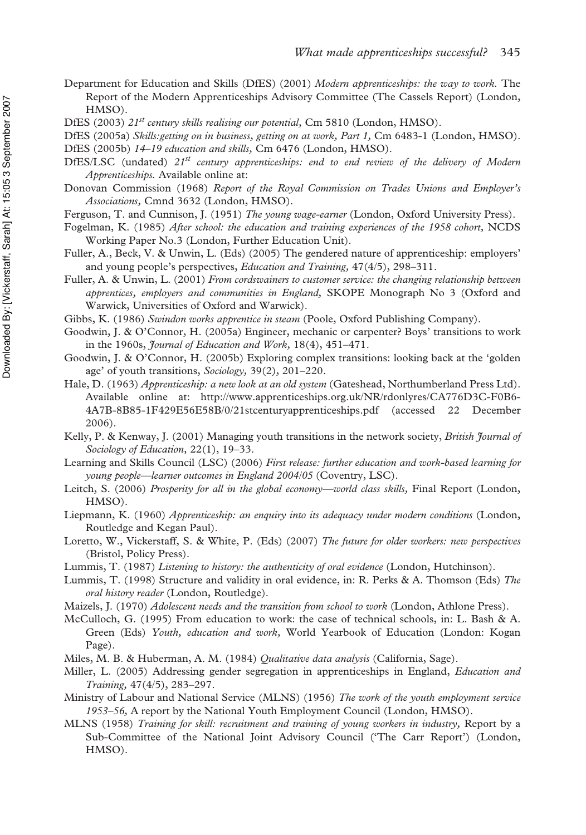- Department for Education and Skills (DfES) (2001) *Modern apprenticeships: the way to work.* The Report of the Modern Apprenticeships Advisory Committee (The Cassels Report) (London, HMSO).
- DfES (2003) *21st century skills realising our potential,* Cm 5810 (London, HMSO).
- DfES (2005a) *Skills:getting on in business, getting on at work, Part 1,* Cm 6483-1 (London, HMSO).
- DfES (2005b) *14–19 education and skills,* Cm 6476 (London, HMSO).
- DfES/LSC (undated) *21st century apprenticeships: end to end review of the delivery of Modern Apprenticeships.* Available online at:
- Donovan Commission (1968) *Report of the Royal Commission on Trades Unions and Employer's Associations,* Cmnd 3632 (London, HMSO).
- Ferguson, T. and Cunnison, J. (1951) *The young wage-earner* (London, Oxford University Press).
- Fogelman, K. (1985) *After school: the education and training experiences of the 1958 cohort,* NCDS Working Paper No.3 (London, Further Education Unit).
- Fuller, A., Beck, V. & Unwin, L. (Eds) (2005) The gendered nature of apprenticeship: employers' and young people's perspectives, *Education and Training,* 47(4/5), 298–311.
- Fuller, A. & Unwin, L. (2001) *From cordswainers to customer service: the changing relationship between apprentices, employers and communities in England,* SKOPE Monograph No 3 (Oxford and Warwick, Universities of Oxford and Warwick).
- Gibbs, K. (1986) *Swindon works apprentice in steam* (Poole, Oxford Publishing Company).
- Goodwin, J. & O'Connor, H. (2005a) Engineer, mechanic or carpenter? Boys' transitions to work in the 1960s, *Journal of Education and Work,* 18(4), 451–471.
- Goodwin, J. & O'Connor, H. (2005b) Exploring complex transitions: looking back at the 'golden age' of youth transitions, *Sociology,* 39(2), 201–220.
- Hale, D. (1963) *Apprenticeship: a new look at an old system* (Gateshead, Northumberland Press Ltd). Available online at: http://www.apprenticeships.org.uk/NR/rdonlyres/CA776D3C-F0B6- 4A7B-8B85-1F429E56E58B/0/21stcenturyapprenticeships.pdf (accessed 22 December 2006).
- Kelly, P. & Kenway, J. (2001) Managing youth transitions in the network society, *British Journal of Sociology of Education,* 22(1), 19–33.
- Learning and Skills Council (LSC) (2006) *First release: further education and work-based learning for young people—learner outcomes in England 2004/05* (Coventry, LSC).
- Leitch, S. (2006) *Prosperity for all in the global economy—world class skills,* Final Report (London, HMSO).
- Liepmann, K. (1960) *Apprenticeship: an enquiry into its adequacy under modern conditions* (London, Routledge and Kegan Paul).
- Loretto, W., Vickerstaff, S. & White, P. (Eds) (2007) *The future for older workers: new perspectives* (Bristol, Policy Press).
- Lummis, T. (1987) *Listening to history: the authenticity of oral evidence* (London, Hutchinson).
- Lummis, T. (1998) Structure and validity in oral evidence, in: R. Perks & A. Thomson (Eds) *The oral history reader* (London, Routledge).
- Maizels, J. (1970) *Adolescent needs and the transition from school to work* (London, Athlone Press).
- McCulloch, G. (1995) From education to work: the case of technical schools, in: L. Bash & A. Green (Eds) *Youth, education and work,* World Yearbook of Education (London: Kogan Page).
- Miles, M. B. & Huberman, A. M. (1984) *Qualitative data analysis* (California, Sage).
- Miller, L. (2005) Addressing gender segregation in apprenticeships in England, *Education and Training,* 47(4/5), 283–297.
- Ministry of Labour and National Service (MLNS) (1956) *The work of the youth employment service 1953–56,* A report by the National Youth Employment Council (London, HMSO).
- MLNS (1958) *Training for skill: recruitment and training of young workers in industry,* Report by a Sub-Committee of the National Joint Advisory Council ('The Carr Report') (London, HMSO).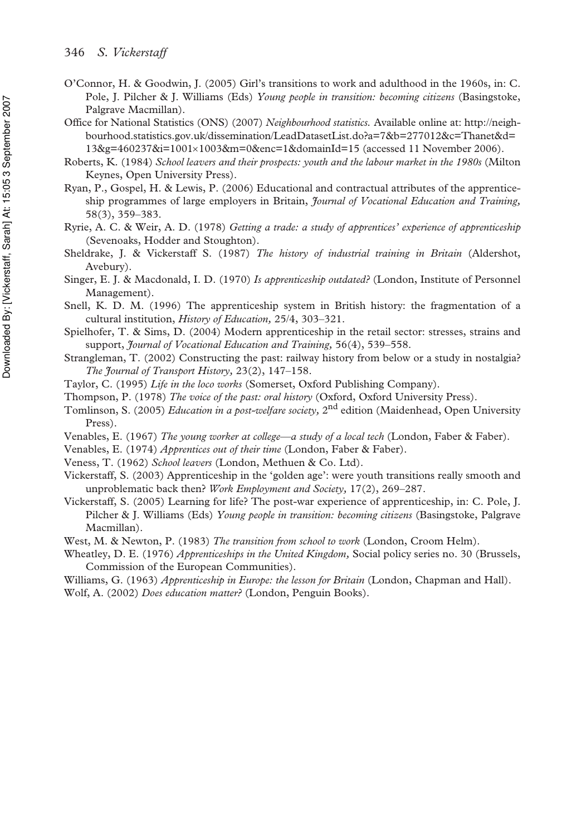- O'Connor, H. & Goodwin, J. (2005) Girl's transitions to work and adulthood in the 1960s, in: C. Pole, J. Pilcher & J. Williams (Eds) *Young people in transition: becoming citizens* (Basingstoke, Palgrave Macmillan).
- Office for National Statistics (ONS) (2007) *Neighbourhood statistics.* Available online at: http://neighbourhood.statistics.gov.uk/dissemination/LeadDatasetList.do?a=7&b=277012&c=Thanet&d= 13&g=460237&i=1001×1003&m=0&enc=1&domainId=15 (accessed 11 November 2006).
- Roberts, K. (1984) *School leavers and their prospects: youth and the labour market in the 1980s* (Milton Keynes, Open University Press).
- Ryan, P., Gospel, H. & Lewis, P. (2006) Educational and contractual attributes of the apprenticeship programmes of large employers in Britain, *Journal of Vocational Education and Training,* 58(3), 359–383.
- Ryrie, A. C. & Weir, A. D. (1978) *Getting a trade: a study of apprentices' experience of apprenticeship* (Sevenoaks, Hodder and Stoughton).
- Sheldrake, J. & Vickerstaff S. (1987) *The history of industrial training in Britain* (Aldershot, Avebury).
- Singer, E. J. & Macdonald, I. D. (1970) *Is apprenticeship outdated?* (London, Institute of Personnel Management).
- Snell, K. D. M. (1996) The apprenticeship system in British history: the fragmentation of a cultural institution, *History of Education,* 25/4, 303–321.
- Spielhofer, T. & Sims, D. (2004) Modern apprenticeship in the retail sector: stresses, strains and support, *Journal of Vocational Education and Training,* 56(4), 539–558.
- Strangleman, T. (2002) Constructing the past: railway history from below or a study in nostalgia? *The Journal of Transport History,* 23(2), 147–158.
- Taylor, C. (1995) *Life in the loco works* (Somerset, Oxford Publishing Company).
- Thompson, P. (1978) *The voice of the past: oral history* (Oxford, Oxford University Press).
- Tomlinson, S. (2005) *Education in a post-welfare society,* 2nd edition (Maidenhead, Open University Press).
- Venables, E. (1967) *The young worker at college—a study of a local tech* (London, Faber & Faber).
- Venables, E. (1974) *Apprentices out of their time* (London, Faber & Faber).
- Veness, T. (1962) *School leavers* (London, Methuen & Co. Ltd).
- Vickerstaff, S. (2003) Apprenticeship in the 'golden age': were youth transitions really smooth and unproblematic back then? *Work Employment and Society,* 17(2), 269–287.
- Vickerstaff, S. (2005) Learning for life? The post-war experience of apprenticeship, in: C. Pole, J. Pilcher & J. Williams (Eds) *Young people in transition: becoming citizens* (Basingstoke, Palgrave Macmillan).
- West, M. & Newton, P. (1983) *The transition from school to work* (London, Croom Helm).
- Wheatley, D. E. (1976) *Apprenticeships in the United Kingdom,* Social policy series no. 30 (Brussels, Commission of the European Communities).

Williams, G. (1963) *Apprenticeship in Europe: the lesson for Britain* (London, Chapman and Hall). Wolf, A. (2002) *Does education matter?* (London, Penguin Books).